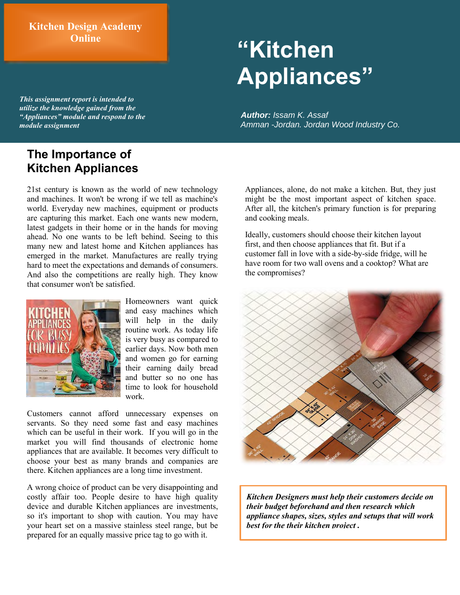### **Kitchen Design Academy Online**

# **"Kitchen Appliances"**

*This assignment report is intended to utilize the knowledge gained from the "Appliances" module and respond to the module assignment*

# **The Importance of Kitchen Appliances**

21st century is known as the world of new technology and machines. It won't be wrong if we tell as machine's world. Everyday new machines, equipment or products are capturing this market. Each one wants new modern, latest gadgets in their home or in the hands for moving ahead. No one wants to be left behind. Seeing to this many new and latest home and Kitchen appliances has emerged in the market. Manufactures are really trying hard to meet the expectations and demands of consumers. And also the competitions are really high. They know that consumer won't be satisfied.



Homeowners want quick and easy machines which will help in the daily routine work. As today life is very busy as compared to earlier days. Now both men and women go for earning their earning daily bread and butter so no one has time to look for household work.

Customers cannot afford unnecessary expenses on servants. So they need some fast and easy machines which can be useful in their work. If you will go in the market you will find thousands of electronic home appliances that are available. It becomes very difficult to choose your best as many brands and companies are there. Kitchen appliances are a long time investment.

A wrong choice of product can be very disappointing and costly affair too. People desire to have high quality device and durable K[itchen](http://www.houzz.com/photos/kitchen) appliances are investments, so it's important to shop with caution. You may have your heart set on a massive stainless steel range, but be prepared for an equally massive price tag to go with it.

*Author: Issam K. Assaf Amman -Jordan. Jordan Wood Industry Co.*

Appliances, alone, do not make a kitchen. But, they just might be the most important aspect of kitchen space. After all, the kitchen's primary function is for preparing and cooking meals.

Ideally, customers should choose their kitchen layout first, and then choose appliances that fit. But if a customer fall in love with a side-by-side fridge, will he have room for two wall ovens and a cooktop? What are the compromises?



*Kitchen Designers must help their customers decide on their budget beforehand and then research which appliance shapes, sizes, styles and setups that will work best for the their kitchen project .*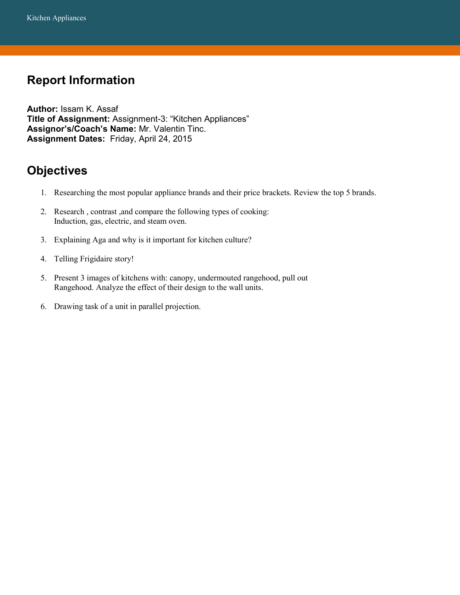# **Report Information**

**Author:** Issam K. Assaf **Title of Assignment:** Assignment-3: "Kitchen Appliances" **Assignor's/Coach's Name:** Mr. Valentin Tinc. **Assignment Dates:** Friday, April 24, 2015

# **Objectives**

- 1. Researching the most popular appliance brands and their price brackets. Review the top 5 brands.
- 2. Research , contrast ,and compare the following types of cooking: Induction, gas, electric, and steam oven.
- 3. Explaining Aga and why is it important for kitchen culture?
- 4. Telling Frigidaire story!
- 5. Present 3 images of kitchens with: canopy, undermouted rangehood, pull out Rangehood. Analyze the effect of their design to the wall units.
- 6. Drawing task of a unit in parallel projection.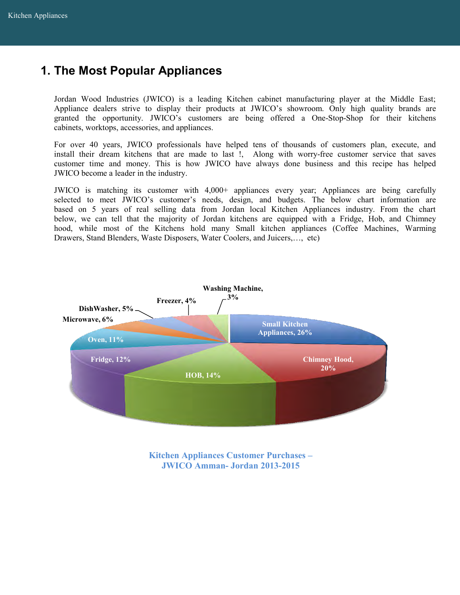# **1. The Most Popular Appliances**

Jordan Wood Industries (JWICO) is a leading Kitchen cabinet manufacturing player at the Middle East; Appliance dealers strive to display their products at JWICO's showroom. Only high quality brands are granted the opportunity. JWICO's customers are being offered a One-Stop-Shop for their kitchens cabinets, worktops, accessories, and appliances.

For over 40 years, JWICO professionals have helped tens of thousands of customers plan, execute, and install their dream kitchens that are made to last !, Along with worry-free customer service that saves customer time and money. This is how JWICO have always done business and this recipe has helped JWICO become a leader in the industry.

JWICO is matching its customer with 4,000+ appliances every year; Appliances are being carefully selected to meet JWICO's customer's needs, design, and budgets. The below chart information are based on 5 years of real selling data from Jordan local Kitchen Appliances industry. From the chart below, we can tell that the majority of Jordan kitchens are equipped with a Fridge, Hob, and Chimney hood, while most of the Kitchens hold many Small kitchen appliances (Coffee Machines, Warming Drawers, Stand Blenders, Waste Disposers, Water Coolers, and Juicers,…, etc)



**Kitchen Appliances Customer Purchases – JWICO Amman- Jordan 2013-2015**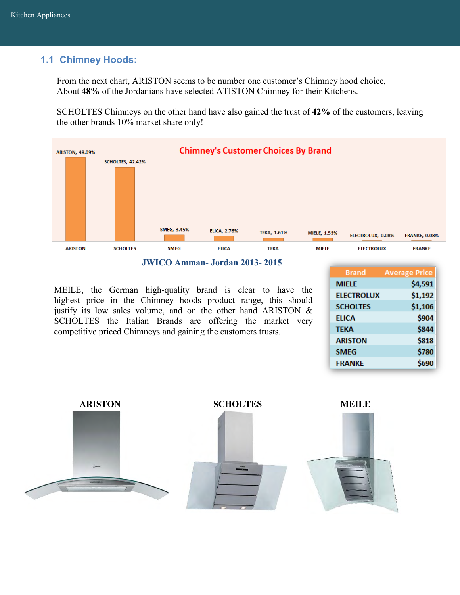### **1.1 Chimney Hoods:**

From the next chart, ARISTON seems to be number one customer's Chimney hood choice, About **48%** of the Jordanians have selected ATISTON Chimney for their Kitchens.

SCHOLTES Chimneys on the other hand have also gained the trust of **42%** of the customers, leaving the other brands 10% market share only!



#### **JWICO Amman- Jordan 2013- 2015**

MEILE, the German high-quality brand is clear to have the highest price in the Chimney hoods product range, this should justify its low sales volume, and on the other hand ARISTON  $\&$ SCHOLTES the Italian Brands are offering the market very competitive priced Chimneys and gaining the customers trusts.

| <b>Brand</b>      | <b>Average Price</b> |
|-------------------|----------------------|
| <b>MIELE</b>      | \$4,591              |
| <b>ELECTROLUX</b> | \$1,192              |
| <b>SCHOLTES</b>   | \$1,106              |
| <b>ELICA</b>      | \$904                |
| <b>TEKA</b>       | \$844                |
| <b>ARISTON</b>    | \$818                |
| <b>SMEG</b>       | \$780                |
| <b>FRANKE</b>     | \$690                |
|                   |                      |





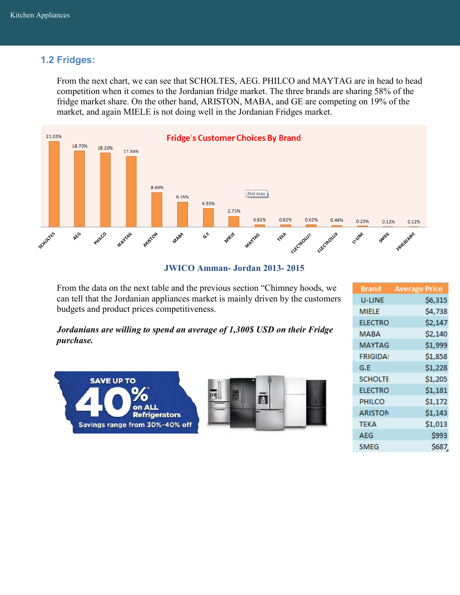### **1.2 Fridges:**

From the next chart, we can see that SCHOLTES, AEG. PHILCO and MAYTAG are in head to head competition when it comes to the Jordanian fridge market. The three brands are sharing 58% of the fridge market share. On the other hand, ARISTON, MABA, and GE are competing on 19% of the market, and again MIELE is not doing well in the Jordanian Fridges market.



#### **JWICO Amman- Jordan 2013- 2015**

From the data on the next table and the previous section "Chimney hoods, we can tell that the Jordanian appliances market is mainly driven by the customers budgets and product prices competitiveness.

*Jordanians are willing to spend an average of 1,300\$ USD on their Fridge purchase.* 



| Brand          | <b>Average Price</b> |
|----------------|----------------------|
| U-LINE         | \$6,315              |
| MIELE          | \$4,738              |
| <b>ELECTRO</b> | \$2,147              |
| MABA           | \$2,140              |
| MAYTAG         | \$1,999              |
| FRIGIDAI       | \$1,858              |
| G.E            | \$1,228              |
| <b>SCHOLTE</b> | \$1,205              |
| <b>ELECTRO</b> | \$1,181              |
| PHILCO         | \$1,172              |
| <b>ARISTON</b> | \$1,143              |
| <b>TEKA</b>    | \$1,013              |
| AEG            | \$993                |
| <b>SMEG</b>    | \$687.               |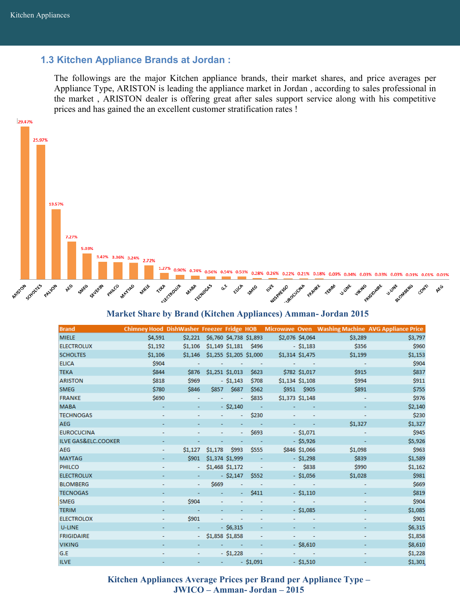#### **1.3 Kitchen Appliance Brands at Jordan :**

The followings are the major Kitchen appliance brands, their market shares, and price averages per Appliance Type, ARISTON is leading the appliance market in Jordan , according to sales professional in the market , ARISTON dealer is offering great after sales support service along with his competitive prices and has gained the an excellent customer stratification rates !



#### **Market Share by Brand (Kitchen Appliances) Amman- Jordan 2015**

| <b>Brand</b>                   |         |              |                                     |                          |                          |                   |                          |         | Chimney Hood DishWasher Freezer Fridge HOB Microwave Oven Washing Machine AVG Appliance Price |
|--------------------------------|---------|--------------|-------------------------------------|--------------------------|--------------------------|-------------------|--------------------------|---------|-----------------------------------------------------------------------------------------------|
| <b>MIELE</b>                   | \$4,591 |              | \$2,221 \$6,760 \$4,738 \$1,893     |                          |                          | \$2,076 \$4,064   |                          | \$3,289 | \$3,797                                                                                       |
| <b>ELECTROLUX</b>              | \$1,192 |              | $$1,106$ $$1,149$ $$1,181$ $$496$   |                          |                          |                   | $-$ \$1,183              | \$356   | \$960                                                                                         |
| <b>SCHOLTES</b>                | \$1,106 |              | $$1,146$ $$1,255$ $$1,205$ $$1,000$ |                          |                          | \$1,314 \$1,475   |                          | \$1,199 | \$1,153                                                                                       |
| <b>ELICA</b>                   | \$904   |              |                                     |                          | <b>All Contractor</b>    |                   |                          |         | \$904                                                                                         |
| <b>TEKA</b>                    | \$844   | \$876        | \$1,251 \$1,013                     |                          | \$623                    |                   | \$782 \$1,017            | \$915   | \$837                                                                                         |
| <b>ARISTON</b>                 | \$818   | \$969        |                                     | $-$ \$1,143              | \$708                    | $$1,134$ $$1,108$ |                          | \$994   | \$911                                                                                         |
| <b>SMEG</b>                    | \$780   | \$846        |                                     | \$857 \$687              | \$562                    |                   | \$951 \$905              | \$891   | \$755                                                                                         |
| <b>FRANKE</b>                  | \$690   |              |                                     | $\blacksquare$           | \$835                    | $$1,373$ $$1,148$ |                          |         | \$976                                                                                         |
| <b>MABA</b>                    |         |              |                                     | $-$ \$2,140              |                          |                   |                          |         | \$2,140                                                                                       |
| <b>TECHNOGAS</b>               |         |              |                                     |                          | \$230                    |                   |                          |         | \$230                                                                                         |
| AEG                            |         |              |                                     |                          |                          |                   |                          | \$1,327 | \$1,327                                                                                       |
| <b>EUROCUCINA</b>              |         |              | $\blacksquare$                      | Ξ                        | \$693                    |                   | $-$ \$1,071              |         | \$945                                                                                         |
| <b>ILVE GAS&amp;ELC.COOKER</b> |         |              |                                     |                          | <b>Contractor</b>        |                   | $-$ \$5,926              |         | \$5,926                                                                                       |
| AEG                            | ٠       | \$1,127      | \$1,178                             | \$993                    | \$555                    |                   | \$846 \$1,066            | \$1,098 | \$963                                                                                         |
| <b>MAYTAG</b>                  |         | \$901        | \$1,374 \$1,999                     |                          | <b>College</b>           |                   | $- $1,298$               | \$839   | \$1,589                                                                                       |
| <b>PHILCO</b>                  |         |              | $-$ \$1,468 \$1,172 $-$             |                          |                          |                   | $-$ \$838                | \$990   | \$1,162                                                                                       |
| <b>ELECTROLUX</b>              |         |              |                                     | $-$ \$2,147              | \$552                    |                   | $-$ \$1,056              | \$1,028 | \$981                                                                                         |
| <b>BLOMBERG</b>                |         | $\sim$       | \$669                               | $\overline{\phantom{a}}$ | <b>Contract</b>          |                   | And Contractor           |         | \$669                                                                                         |
| <b>TECNOGAS</b>                |         |              | $\blacksquare$                      | $\blacksquare$           | \$411                    |                   | $-$ \$1,110              |         | \$819                                                                                         |
| <b>SMEG</b>                    |         | <b>\$904</b> |                                     |                          |                          |                   | <b>All Contractor</b>    |         | \$904                                                                                         |
| <b>TERIM</b>                   |         |              | $\blacksquare$                      |                          |                          |                   | $-$ \$1,085              |         | \$1,085                                                                                       |
| <b>ELECTROLOX</b>              |         | \$901        |                                     |                          |                          |                   |                          |         | \$901                                                                                         |
| U-LINE                         |         |              |                                     | $-$ \$6,315              |                          |                   |                          |         | \$6,315                                                                                       |
| <b>FRIGIDAIRE</b>              |         |              | $-$ \$1,858 \$1,858                 |                          | ۰                        | ٠.                | $\overline{\phantom{a}}$ |         | \$1,858                                                                                       |
| <b>VIKING</b>                  |         |              |                                     | and the same             |                          |                   | $-$ \$8,610              |         | \$8,610                                                                                       |
| G.E                            |         |              |                                     | $-$ \$1,228              | $\overline{\phantom{a}}$ |                   |                          |         | \$1,228                                                                                       |
| <b>ILVE</b>                    |         |              |                                     |                          | $-51,091$                |                   | $-$ \$1,510              |         | \$1,301                                                                                       |

**Kitchen Appliances Average Prices per Brand per Appliance Type – JWICO – Amman- Jordan – 2015**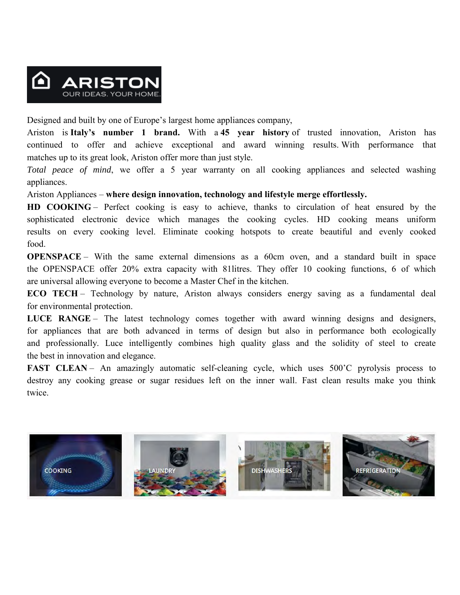

Designed and built by one of Europe's largest home appliances company,

Ariston is **Italy's number 1 brand.** With a **45 year history** of trusted innovation, Ariston has continued to offer and achieve exceptional and award winning results. With performance that matches up to its great look, Ariston offer more than just style.

*Total peace of mind*, we offer a 5 year warranty on all cooking appliances and selected washing appliances.

Ariston Appliances – **where design innovation, technology and lifestyle merge effortlessly.**

**HD COOKING** – Perfect cooking is easy to achieve, thanks to circulation of heat ensured by the sophisticated electronic device which manages the cooking cycles. HD cooking means uniform results on every cooking level. Eliminate cooking hotspots to create beautiful and evenly cooked food.

**OPENSPACE** – With the same external dimensions as a 60cm oven, and a standard built in space the OPENSPACE offer 20% extra capacity with 81litres. They offer 10 cooking functions, 6 of which are universal allowing everyone to become a Master Chef in the kitchen.

**ECO TECH** – Technology by nature, Ariston always considers energy saving as a fundamental deal for environmental protection.

LUCE RANGE – The latest technology comes together with award winning designs and designers, for appliances that are both advanced in terms of design but also in performance both ecologically and professionally. Luce intelligently combines high quality glass and the solidity of steel to create the best in innovation and elegance.

**FAST CLEAN** – An amazingly automatic self-cleaning cycle, which uses 500°C pyrolysis process to destroy any cooking grease or sugar residues left on the inner wall. Fast clean results make you think twice.

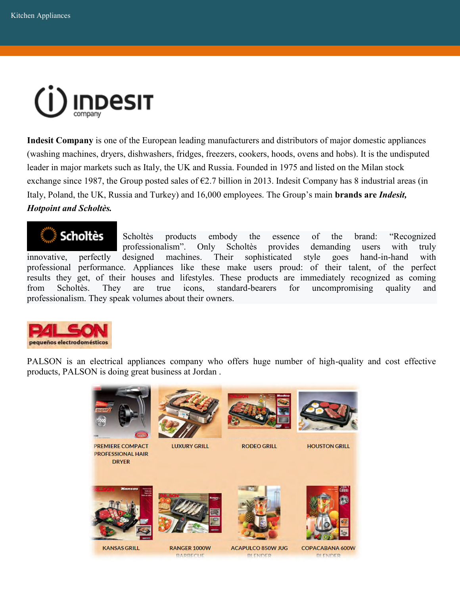

**Indesit Company** is one of the European leading manufacturers and distributors of major domestic appliances (washing machines, dryers, dishwashers, fridges, freezers, cookers, hoods, ovens and hobs). It is the undisputed leader in major markets such as Italy, the UK and Russia. Founded in 1975 and listed on the Milan stock exchange since 1987, the Group posted sales of  $\epsilon$ 2.7 billion in 2013. Indesit Company has 8 industrial areas (in Italy, Poland, the UK, Russia and Turkey) and 16,000 employees. The Group's main **brands are** *Indesit, Hotpoint and Scholtès.*

**Scholtès** Scholtès products embody the essence of the brand: "Recognized professionalism". Only Scholtès provides demanding users with truly innovative, perfectly designed machines. Their sophisticated style goes hand-in-hand with professional performance. Appliances like these make users proud: of their talent, of the perfect results they get, of their houses and lifestyles. These products are immediately recognized as coming from Scholtès. They are true icons, standard-bearers for uncompromising quality and professionalism. They speak volumes about their owners.



PALSON is an electrical appliances company who offers huge number of high-quality and cost effective products, PALSON is doing great business at Jordan .



**PREMIERE COMPACT PROFESSIONAL HAIR DRYER** 



**LUXURY GRILL** 



**RODEO GRILL** 



**HOUSTON GRILL** 











**KANSAS GRILL** 

**RANGER 1000W** 

**ACAPULCO 850W JUG** 

COPACABANA 600W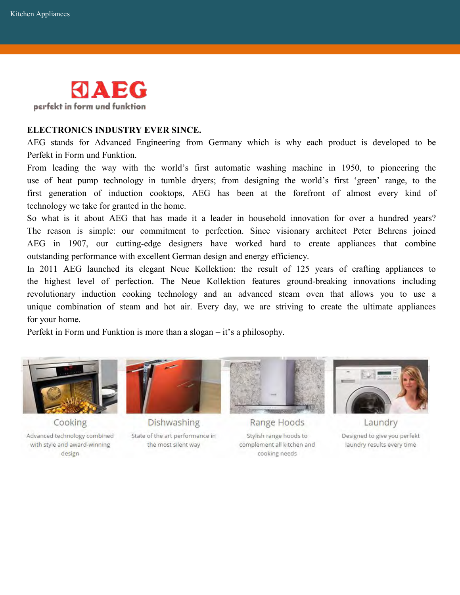

#### **ELECTRONICS INDUSTRY EVER SINCE.**

AEG stands for Advanced Engineering from Germany which is why each product is developed to be Perfekt in Form und Funktion.

From leading the way with the world's first automatic washing machine in 1950, to pioneering the use of heat pump technology in tumble dryers; from designing the world's first 'green' range, to the first generation of induction cooktops, AEG has been at the forefront of almost every kind of technology we take for granted in the home.

So what is it about AEG that has made it a leader in household innovation for over a hundred years? The reason is simple: our commitment to perfection. Since visionary architect Peter Behrens joined AEG in 1907, our cutting-edge designers have worked hard to create appliances that combine outstanding performance with excellent German design and energy efficiency.

In 2011 AEG launched its elegant Neue Kollektion: the result of 125 years of crafting appliances to the highest level of perfection. The Neue Kollektion features ground-breaking innovations including revolutionary induction cooking technology and an advanced steam oven that allows you to use a unique combination of steam and hot air. Every day, we are striving to create the ultimate appliances for your home.

Perfekt in Form und Funktion is more than a slogan – it's a philosophy.



Cooking

Advanced technology combined with style and award-winning design



**Dishwashing** State of the art performance in the most silent way



Range Hoods Stylish range hoods to complement all kitchen and cooking needs



Laundry Designed to give you perfekt laundry results every time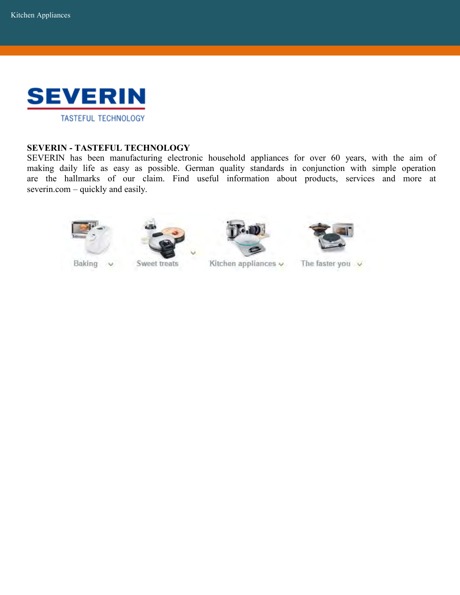

#### **SEVERIN - TASTEFUL TECHNOLOGY**

SEVERIN has been manufacturing electronic household appliances for over 60 years, with the aim of making daily life as easy as possible. German quality standards in conjunction with simple operation are the hallmarks of our claim. Find useful information about products, services and more at severin.com – quickly and easily.







Kitchen appliances v



The faster you  $\vee$ 

Baking v

Sweet treats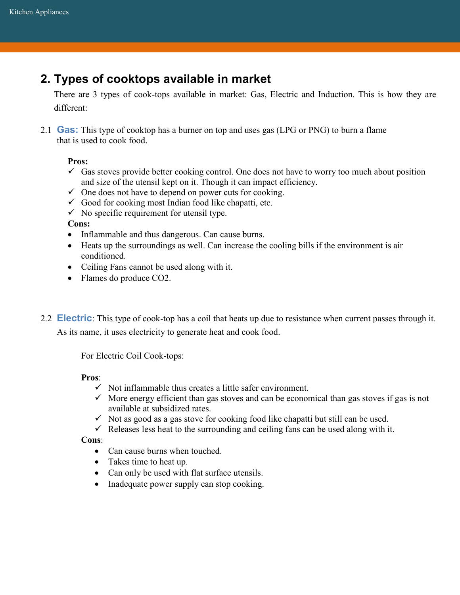# **2. Types of cooktops available in market**

There are 3 types of cook-tops available in market: Gas, Electric and Induction. This is how they are different:

2.1 **Gas:** This type of cooktop has a burner on top and uses gas (LPG or PNG) to burn a flame that is used to cook food.

#### **Pros:**

- $\checkmark$  Gas stoves provide better cooking control. One does not have to worry too much about position and size of the utensil kept on it. Though it can impact efficiency.
- $\checkmark$  One does not have to depend on power cuts for cooking.
- $\checkmark$  Good for cooking most Indian food like chapatti, etc.
- $\checkmark$  No specific requirement for utensil type.

#### **Cons:**

- Inflammable and thus dangerous. Can cause burns.
- Heats up the surroundings as well. Can increase the cooling bills if the environment is air conditioned.
- Ceiling Fans cannot be used along with it.
- Flames do produce CO2.
- 2.2 **Electric**: This type of cook-top has a coil that heats up due to resistance when current passes through it. As its name, it uses electricity to generate heat and cook food.

For Electric Coil Cook-tops:

#### **Pros**:

- $\checkmark$  Not inflammable thus creates a little safer environment.
- $\checkmark$  More energy efficient than gas stoves and can be economical than gas stoves if gas is not available at subsidized rates.
- $\checkmark$  Not as good as a gas stove for cooking food like chapatti but still can be used.
- $\checkmark$  Releases less heat to the surrounding and ceiling fans can be used along with it.

**Cons**:

- Can cause burns when touched.
- Takes time to heat up.
- Can only be used with flat surface utensils.
- Inadequate power supply can stop cooking.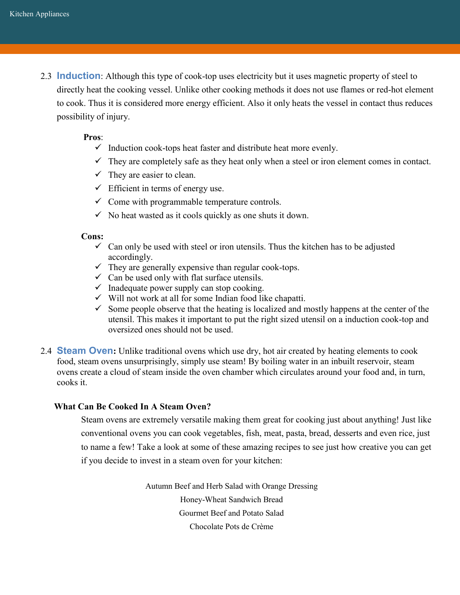2.3 **Induction**: Although this type of cook-top uses electricity but it uses magnetic property of steel to directly heat the cooking vessel. Unlike other cooking methods it does not use flames or red-hot element to cook. Thus it is considered more energy efficient. Also it only heats the vessel in contact thus reduces possibility of injury.

#### **Pros**:

- $\checkmark$  Induction cook-tops heat faster and distribute heat more evenly.
- $\checkmark$  They are completely safe as they heat only when a steel or iron element comes in contact.
- $\checkmark$  They are easier to clean.
- $\checkmark$  Efficient in terms of energy use.
- $\checkmark$  Come with programmable temperature controls.
- $\checkmark$  No heat wasted as it cools quickly as one shuts it down.

#### **Cons:**

- $\checkmark$  Can only be used with steel or iron utensils. Thus the kitchen has to be adjusted accordingly.
- $\checkmark$  They are generally expensive than regular cook-tops.
- $\checkmark$  Can be used only with flat surface utensils.
- $\checkmark$  Inadequate power supply can stop cooking.
- $\checkmark$  Will not work at all for some Indian food like chapatti.
- $\checkmark$  Some people observe that the heating is localized and mostly happens at the center of the utensil. This makes it important to put the right sized utensil on a induction cook-top and oversized ones should not be used.
- 2.4 **Steam Oven:** Unlike traditional ovens which use dry, hot air created by heating elements to cook food, steam ovens unsurprisingly, simply use steam! By boiling water in an inbuilt reservoir, steam ovens create a cloud of steam inside the oven chamber which circulates around your food and, in turn, cooks it.

#### **What Can Be Cooked In A Steam Oven?**

Steam ovens are extremely versatile making them great for cooking just about anything! Just like conventional ovens you can cook vegetables, fish, meat, pasta, bread, desserts and even rice, just to name a few! Take a look at some of these amazing recipes to see just how creative you can get if you decide to invest in a steam oven for your kitchen:

> [Autumn Beef and Herb Salad with Orange Dressing](http://www.alacarte.miele.com.au/au/alacarte/food/food_autumn_beef_and_herb_salad_with_orange_dressing_aus.aspx?incHit=1) [Honey-Wheat Sandwich Bread](http://www.williams-sonoma.com/recipe/honey-wheat-sandwich-bread.html) [Gourmet Beef and Potato Salad](http://www.alacarte.miele.com.au/au/alacarte/food/food_gourmet_beef_and_potato_salad_new_aus.aspx?incHit=1) [Chocolate Pots de Crème](http://www.williams-sonoma.com/recipe/chocolate-pots-creme.html)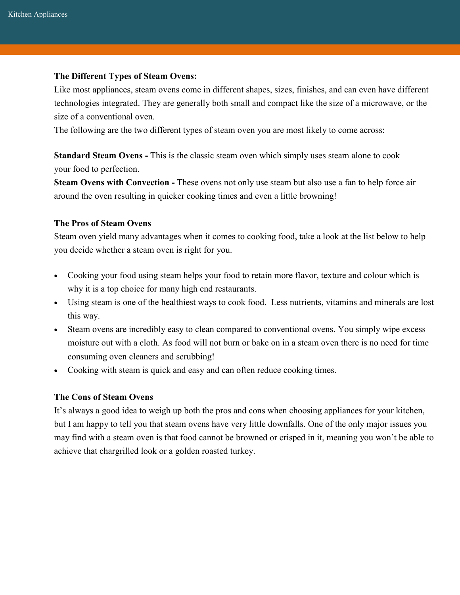#### **The Different Types of Steam Ovens:**

Like most appliances, steam ovens come in different shapes, sizes, finishes, and can even have different technologies integrated. They are generally both small and compact like the size of a microwave, or the size of a conventional oven.

The following are the two different types of steam oven you are most likely to come across:

**Standard Steam Ovens -** This is the classic steam oven which simply uses steam alone to cook your food to perfection.

**Steam Ovens with Convection -** These ovens not only use steam but also use a fan to help force air around the oven resulting in quicker cooking times and even a little browning!

#### **The Pros of Steam Ovens**

Steam oven yield many advantages when it comes to cooking food, take a look at the list below to help you decide whether a steam oven is right for you.

- Cooking your food using steam helps your food to retain more flavor, texture and colour which is why it is a top choice for many high end restaurants.
- Using steam is one of the healthiest ways to cook food. Less nutrients, vitamins and minerals are lost this way.
- Steam ovens are incredibly easy to clean compared to conventional ovens. You simply wipe excess moisture out with a cloth. As food will not burn or bake on in a steam oven there is no need for time consuming oven cleaners and scrubbing!
- Cooking with steam is quick and easy and can often reduce cooking times.

#### **The Cons of Steam Ovens**

It's always a good idea to weigh up both the pros and cons when choosing appliances for your kitchen, but I am happy to tell you that steam ovens have very little downfalls. One of the only major issues you may find with a steam oven is that food cannot be browned or crisped in it, meaning you won't be able to achieve that chargrilled look or a golden roasted turkey.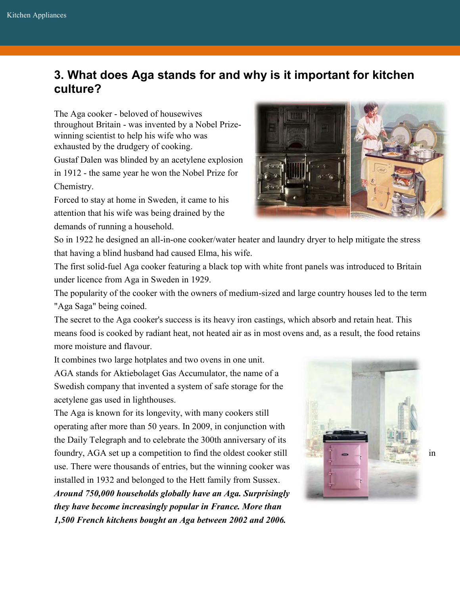# **3. What does Aga stands for and why is it important for kitchen culture?**

The Aga cooker - beloved of housewives throughout Britain - was invented by a Nobel Prizewinning scientist to help his wife who was exhausted by the drudgery of cooking.

Gustaf Dalen was blinded by an acetylene explosion in 1912 - the same year he won the Nobel Prize for Chemistry.

Forced to stay at home in Sweden, it came to his attention that his wife was being drained by the demands of running a household.

So in 1922 he designed an all-in-one cooker/water heater and laundry dryer to help mitigate the stress that having a blind husband had caused Elma, his wife.

The first solid-fuel Aga cooker featuring a black top with white front panels was introduced to Britain under licence from Aga in Sweden in 1929.

The popularity of the cooker with the owners of medium-sized and large country houses led to the term "Aga Saga" being coined.

The secret to the Aga cooker's success is its heavy iron castings, which absorb and retain heat. This means food is cooked by radiant heat, not heated air as in most ovens and, as a result, the food retains more moisture and flavour.

It combines two large hotplates and two ovens in one unit.

AGA stands for Aktiebolaget Gas Accumulator, the name of a Swedish company that invented a system of safe storage for the acetylene gas used in lighthouses.

The Aga is known for its longevity, with many cookers still operating after more than 50 years. In 2009, in conjunction with the Daily Telegraph and to celebrate the 300th anniversary of its foundry, AGA set up a competition to find the oldest cooker still  $\Box$   $\Box$   $\Box$  in use. There were thousands of entries, but the winning cooker was installed in 1932 and belonged to the Hett family from Sussex.

*Around 750,000 households globally have an Aga. Surprisingly they have become increasingly popular in France. More than 1,500 French kitchens bought an Aga between 2002 and 2006.*



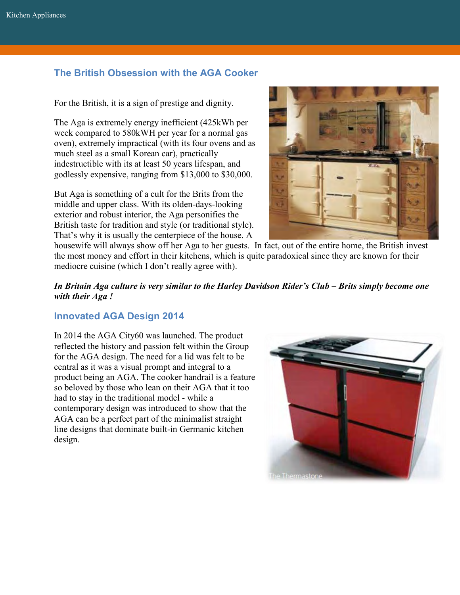### **The British Obsession with the AGA Cooker**

For the British, it is a sign of prestige and dignity.

The Aga is extremely energy inefficient (425kWh per week compared to 580kWH per year for a normal gas oven), extremely impractical (with its four ovens and as much steel as a small Korean car), practically indestructible with its at least 50 years lifespan, and godlessly expensive, ranging from \$13,000 to \$30,000.

But Aga is something of a cult for the Brits from the middle and upper class. With its olden-days-looking exterior and robust interior, the Aga personifies the British taste for tradition and style (or traditional style). That's why it is usually the centerpiece of the house. A



housewife will always show off her Aga to her guests. In fact, out of the entire home, the British invest the most money and effort in their kitchens, which is quite paradoxical since they are known for their mediocre cuisine (which I don't really agree with).

#### *In Britain Aga culture is very similar to the Harley Davidson Rider's Club – Brits simply become one with their Aga !*

### **Innovated AGA Design 2014**

In 2014 the AGA City60 was launched. The product reflected the history and passion felt within the Group for the AGA design. The need for a lid was felt to be central as it was a visual prompt and integral to a product being an AGA. The cooker handrail is a feature so beloved by those who lean on their AGA that it too had to stay in the traditional model - while a contemporary design was introduced to show that the AGA can be a perfect part of the minimalist straight line designs that dominate built-in Germanic kitchen design.

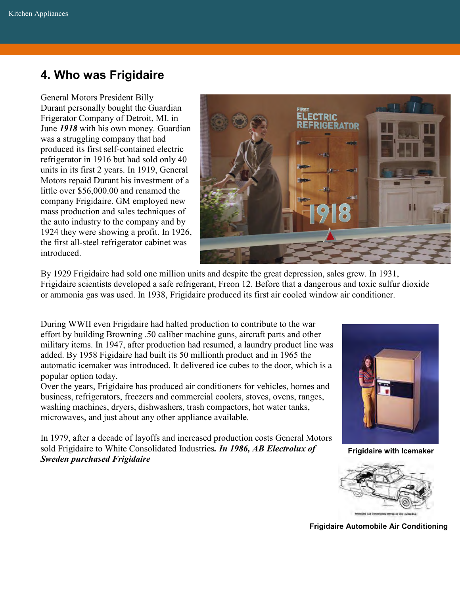# **4. Who was Frigidaire**

General Motors President [Billy](https://history.gmheritagecenter.com/wiki/index.php/Durant,_William_Crapo)  [Durant](https://history.gmheritagecenter.com/wiki/index.php/Durant,_William_Crapo) personally bought the Guardian Frigerator Company of Detroit, MI. in June *1918* with his own money. Guardian was a struggling company that had produced its first self-contained electric refrigerator in 1916 but had sold only 40 units in its first 2 years. In 1919, General Motors repaid Durant his investment of a little over \$56,000.00 and renamed the company [Frigidaire.](https://history.gmheritagecenter.com/wiki/index.php/1919,_Frigidaire_Gives_GM_a_Non-Automotive_Edge) GM employed new mass production and sales techniques of the auto industry to the company and by 1924 they were showing a profit. In 1926, the first all-steel refrigerator cabinet was introduced.



By 1929 Frigidaire had sold one million units and despite the great depression, sales grew. In 1931, Frigidaire scientists developed a safe refrigerant, Freon 12. Before that a dangerous and toxic sulfur dioxide or ammonia gas was used. In 1938, Frigidaire produced its first air cooled window air conditioner.

During WWII even Frigidaire had halted production to contribute to the war effort by building Browning .50 caliber machine guns, aircraft parts and other military items. In 1947, after production had resumed, a laundry product line was added. By 1958 Figidaire had built its 50 millionth product and in 1965 the automatic icemaker was introduced. It delivered ice cubes to the door, which is a popular option today.

Over the years, Frigidaire has produced air conditioners for [vehicles,](https://history.gmheritagecenter.com/wiki/index.php/1939,_%22Silversides,%22_the_Hallmark_of_Bus_Design) [homes and](https://history.gmheritagecenter.com/wiki/index.php/1929,_The_First_Room_Air_Conditioner)  [business,](https://history.gmheritagecenter.com/wiki/index.php/1929,_The_First_Room_Air_Conditioner) refrigerators, freezers and commercial coolers, stoves, ovens, ranges, washing machines, dryers, dishwashers, trash compactors, hot water tanks, microwaves, and just about any other appliance available.

In 1979, after a decade of layoffs and increased production costs General Motors sold Frigidaire to White Consolidated Industries*. In 1986, AB Electrolux of Sweden purchased Frigidaire*



**Frigidaire with Icemaker**



**Frigidaire Automobile Air Conditioning**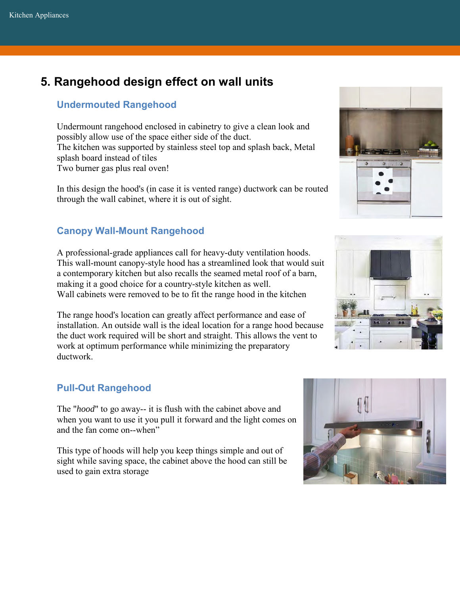# **5. Rangehood design effect on wall units**

### **Undermouted Rangehood**

Undermount rangehood enclosed in cabinetry to give a clean look and possibly allow use of the space either side of the duct. The kitchen was supported by stainless steel top and splash back, Metal splash board instead of tiles Two burner gas plus real oven!

In this design the hood's (in case it is vented range) ductwork can be routed through the wall cabinet, where it is out of sight.

### **Canopy Wall-Mount Rangehood**

A professional-grade [appliances](http://www.bhg.com/kitchen/appliances/) call for heavy-duty ventilation hoods. This wall-mount canopy-style hood has a streamlined look that would suit a contemporary [kitchen](http://www.bhg.com/kitchen/) but also recalls the seamed metal roof of a barn, making it a good choice for a country-style kitchen as well. Wall cabinets were removed to be to fit the range hood in the kitchen

The range hood's location can greatly affect performance and ease of installation. An outside wall is the ideal location for a range hood because the duct work required will be short and straight. This allows the vent to work at optimum performance while minimizing the preparatory ductwork.

### **Pull-Out Rangehood**

The "*hood*" to go away-- it is flush with the cabinet above and when you want to use it you pull it forward and the light comes on and the fan come on--when"

This type of hoods will help you keep things simple and out of sight while saving space, the cabinet above the hood can still be used to gain extra storage





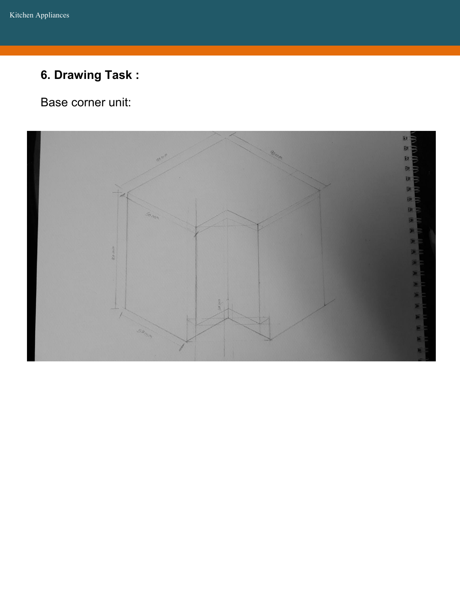# **6. Drawing Task :**

Base corner unit:

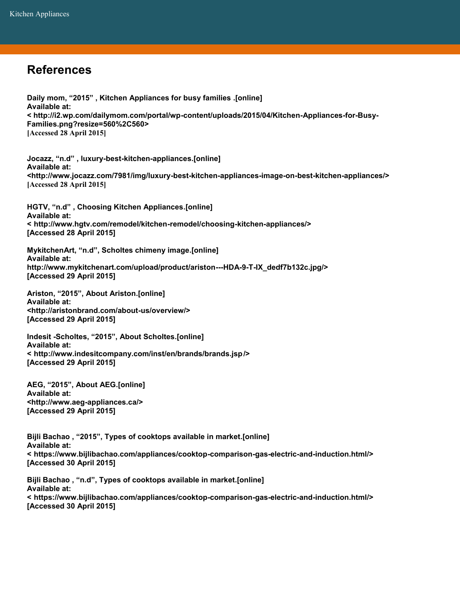## **References**

**Daily mom, "2015" , Kitchen Appliances for busy families .[online] Available at: < http://i2.wp.com/dailymom.com/portal/wp-content/uploads/2015/04/Kitchen-Appliances-for-Busy-Families.png?resize=560%2C560> [Accessed 28 April 2015]**

**Jocazz, "n.d" , luxury-best-kitchen-appliances.[online] Available at: <http://www.jocazz.com/7981/img/luxury-best-kitchen-appliances-image-on-best-kitchen-appliances/> [Accessed 28 April 2015]** 

**HGTV, "n.d" , Choosing Kitchen Appliances.[online] Available at: < http://www.hgtv.com/remodel/kitchen-remodel/choosing-kitchen-appliances/> [Accessed 28 April 2015]** 

**MykitchenArt, "n.d", Scholtes chimeny image.[online] Available at: http://www.mykitchenart.com/upload/product/ariston---HDA-9-T-IX\_dedf7b132c.jpg/> [Accessed 29 April 2015]** 

**Ariston, "2015", About Ariston.[online] Available at: <http://aristonbrand.com/about-us/overview/> [Accessed 29 April 2015]** 

**Indesit -Scholtes, "2015", About Scholtes.[online] Available at: < http://www.indesitcompany.com/inst/en/brands/brands.jsp /> [Accessed 29 April 2015]** 

**AEG, "2015", About AEG.[online] Available at: <http://www.aeg-appliances.ca/> [Accessed 29 April 2015]** 

**Bijli Bachao , "2015", Types of cooktops available in market.[online] Available at: < https://www.bijlibachao.com/appliances/cooktop-comparison-gas-electric-and-induction.html/> [Accessed 30 April 2015]** 

**Bijli Bachao , "n.d", Types of cooktops available in market.[online] Available at: < https://www.bijlibachao.com/appliances/cooktop-comparison-gas-electric-and-induction.html/> [Accessed 30 April 2015]**